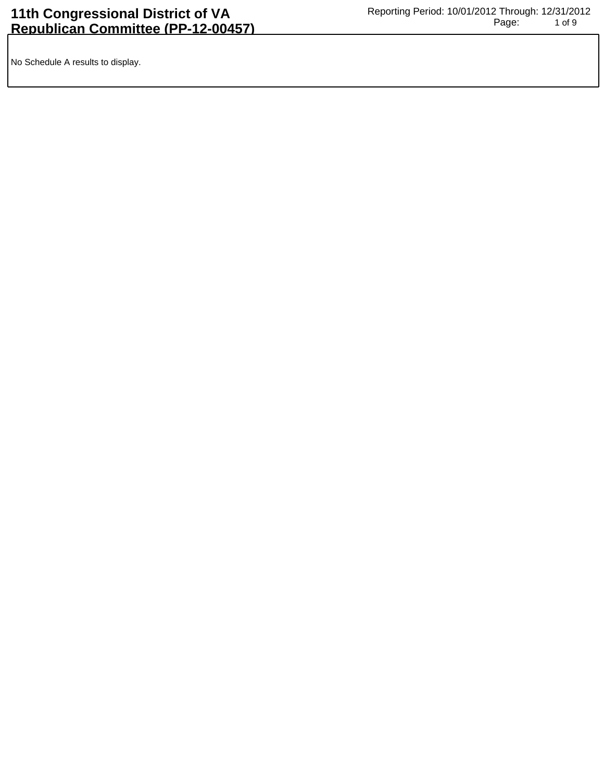No Schedule A results to display.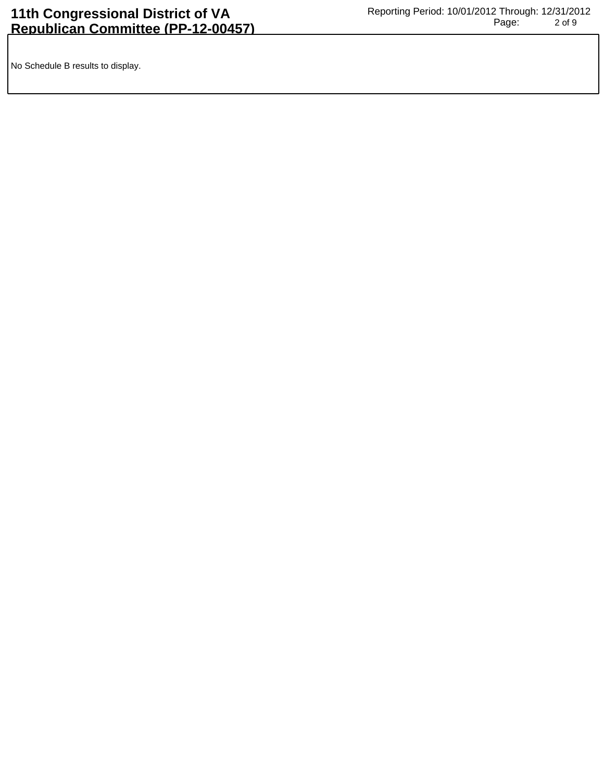No Schedule B results to display.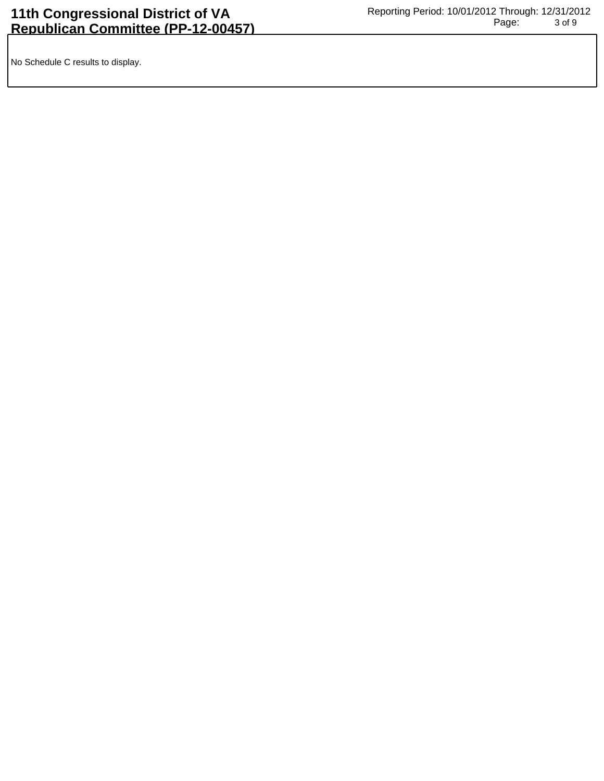No Schedule C results to display.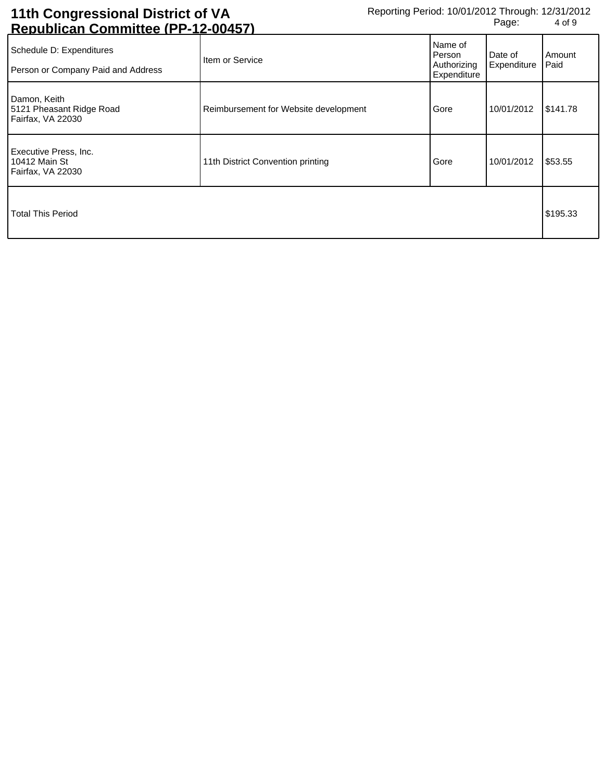## **11th Congressional District of VA Republican Committee (PP-12-00457)**

| <u>Republicali Colliniitee (FF-12-00437)</u>                   |                                       |                                                 |                        |                |
|----------------------------------------------------------------|---------------------------------------|-------------------------------------------------|------------------------|----------------|
| Schedule D: Expenditures<br>Person or Company Paid and Address | Item or Service                       | Name of<br>Person<br>Authorizing<br>Expenditure | Date of<br>Expenditure | Amount<br>Paid |
| Damon, Keith<br>5121 Pheasant Ridge Road<br>Fairfax, VA 22030  | Reimbursement for Website development | Gore                                            | 10/01/2012             | \$141.78       |
| Executive Press, Inc.<br>10412 Main St<br>Fairfax, VA 22030    | 11th District Convention printing     | Gore                                            | 10/01/2012             | \$53.55        |
| Total This Period                                              |                                       |                                                 |                        | \$195.33       |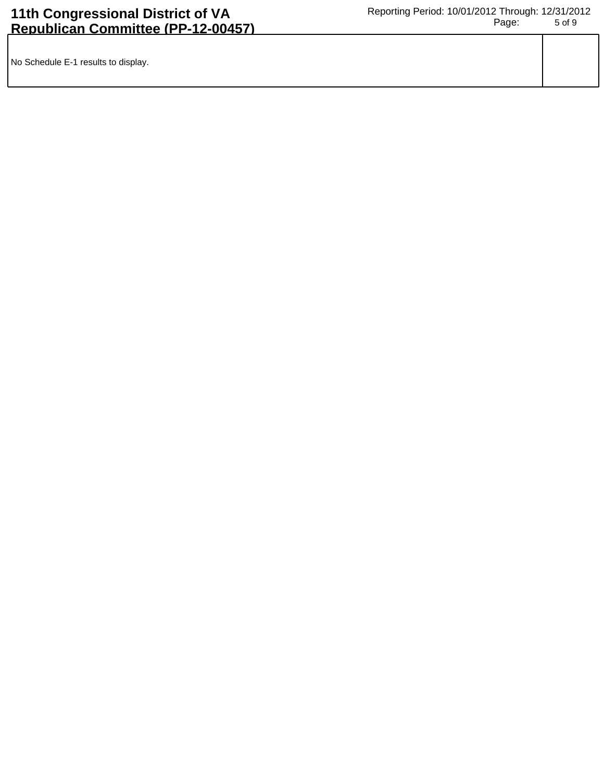| No Schedule E-1 results to display. |  |
|-------------------------------------|--|
|                                     |  |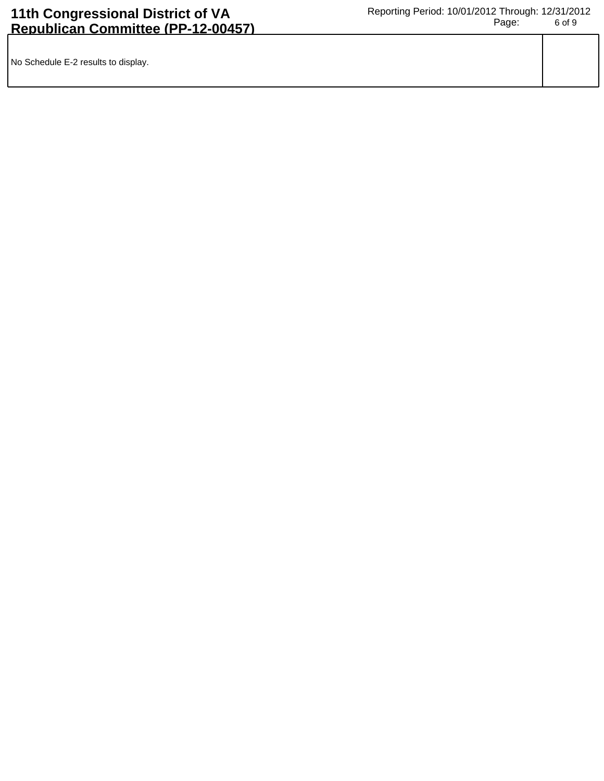| No Schedule E-2 results to display. |  |
|-------------------------------------|--|
|                                     |  |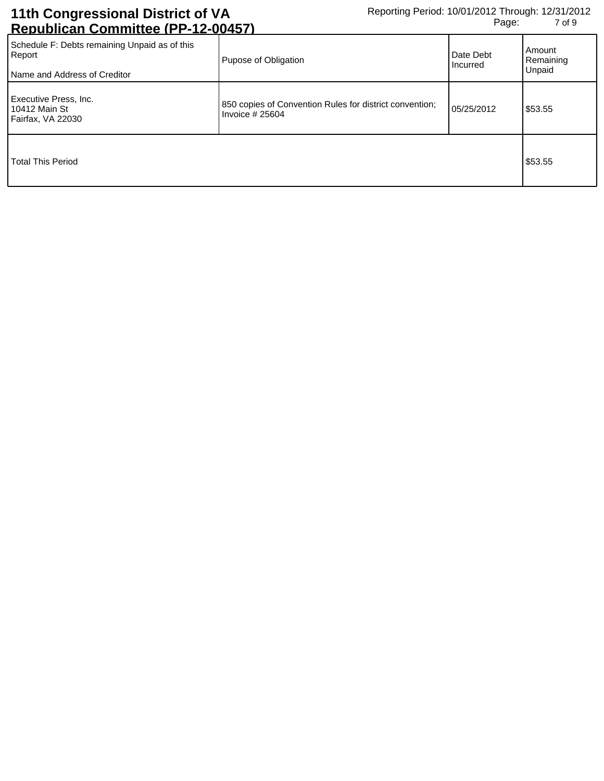| <u>INGNUNIIVAIT VUITIIIIIIUGU ILI TIZTUUTUI J</u>                                       |                                                                             |                       |                               |
|-----------------------------------------------------------------------------------------|-----------------------------------------------------------------------------|-----------------------|-------------------------------|
| Schedule F: Debts remaining Unpaid as of this<br>Report<br>Name and Address of Creditor | Pupose of Obligation                                                        | Date Debt<br>Incurred | Amount<br>Remaining<br>Unpaid |
| Executive Press, Inc.<br>10412 Main St<br>Fairfax, VA 22030                             | 850 copies of Convention Rules for district convention;<br>Invoice $#25604$ | 05/25/2012            | \$53.55                       |
| <b>Total This Period</b>                                                                |                                                                             |                       | \$53.55                       |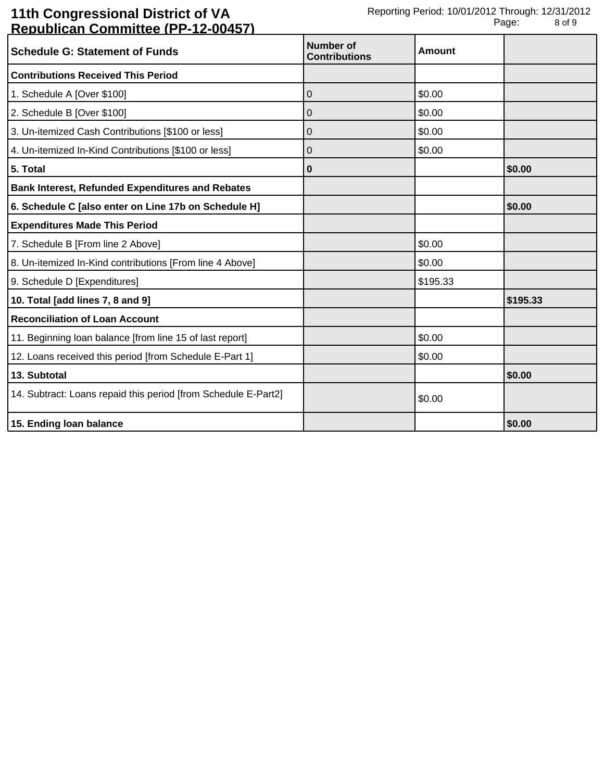## **11th Congressional District of VA Republican Committee (PP-12-00457)**

| <b>Schedule G: Statement of Funds</b>                          | Number of<br><b>Contributions</b> | Amount   |          |
|----------------------------------------------------------------|-----------------------------------|----------|----------|
| <b>Contributions Received This Period</b>                      |                                   |          |          |
| 1. Schedule A [Over \$100]                                     | 0                                 | \$0.00   |          |
| 2. Schedule B [Over \$100]                                     | 0                                 | \$0.00   |          |
| 3. Un-itemized Cash Contributions [\$100 or less]              | 0                                 | \$0.00   |          |
| 4. Un-itemized In-Kind Contributions [\$100 or less]           | 0                                 | \$0.00   |          |
| 5. Total                                                       | 0                                 |          | \$0.00   |
| <b>Bank Interest, Refunded Expenditures and Rebates</b>        |                                   |          |          |
| 6. Schedule C [also enter on Line 17b on Schedule H]           |                                   |          | \$0.00   |
| <b>Expenditures Made This Period</b>                           |                                   |          |          |
| 7. Schedule B [From line 2 Above]                              |                                   | \$0.00   |          |
| 8. Un-itemized In-Kind contributions [From line 4 Above]       |                                   | \$0.00   |          |
| 9. Schedule D [Expenditures]                                   |                                   | \$195.33 |          |
| 10. Total [add lines 7, 8 and 9]                               |                                   |          | \$195.33 |
| <b>Reconciliation of Loan Account</b>                          |                                   |          |          |
| 11. Beginning loan balance [from line 15 of last report]       |                                   | \$0.00   |          |
| 12. Loans received this period [from Schedule E-Part 1]        |                                   | \$0.00   |          |
| 13. Subtotal                                                   |                                   |          | \$0.00   |
| 14. Subtract: Loans repaid this period [from Schedule E-Part2] |                                   | \$0.00   |          |
| 15. Ending loan balance                                        |                                   |          | \$0.00   |